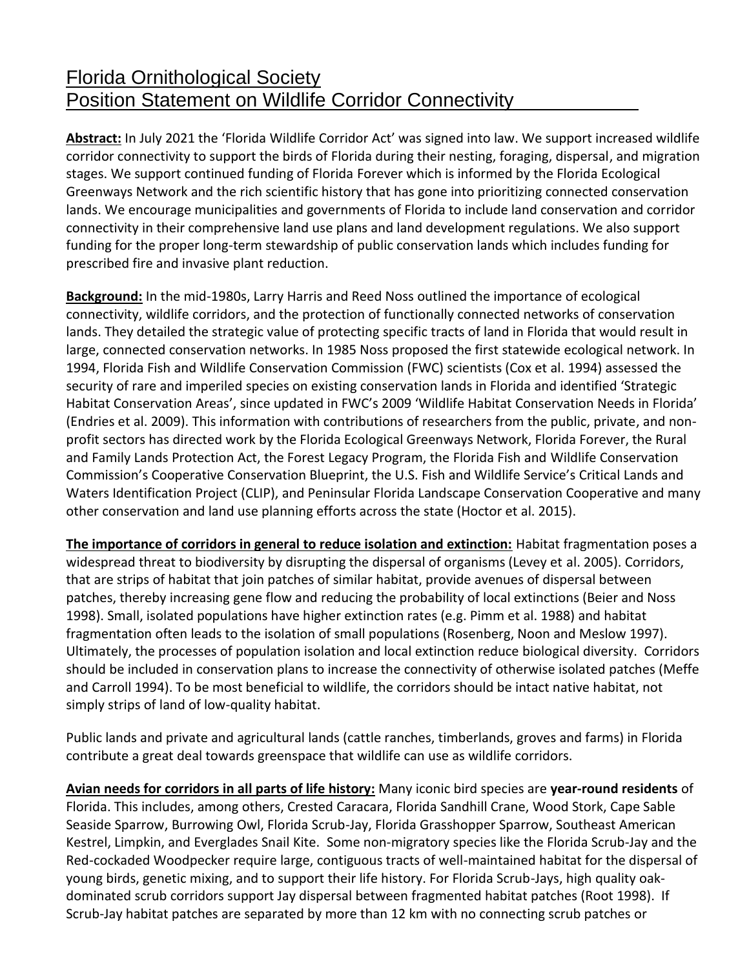## Florida Ornithological Society Position Statement on Wildlife Corridor Connectivity

**Abstract:** In July 2021 the 'Florida Wildlife Corridor Act' was signed into law. We support increased wildlife corridor connectivity to support the birds of Florida during their nesting, foraging, dispersal, and migration stages. We support continued funding of Florida Forever which is informed by the Florida Ecological Greenways Network and the rich scientific history that has gone into prioritizing connected conservation lands. We encourage municipalities and governments of Florida to include land conservation and corridor connectivity in their comprehensive land use plans and land development regulations. We also support funding for the proper long-term stewardship of public conservation lands which includes funding for prescribed fire and invasive plant reduction.

**Background:** In the mid-1980s, Larry Harris and Reed Noss outlined the importance of ecological connectivity, wildlife corridors, and the protection of functionally connected networks of conservation lands. They detailed the strategic value of protecting specific tracts of land in Florida that would result in large, connected conservation networks. In 1985 Noss proposed the first statewide ecological network. In 1994, Florida Fish and Wildlife Conservation Commission (FWC) scientists (Cox et al. 1994) assessed the security of rare and imperiled species on existing conservation lands in Florida and identified 'Strategic Habitat Conservation Areas', since updated in FWC's 2009 'Wildlife Habitat Conservation Needs in Florida' (Endries et al. 2009). This information with contributions of researchers from the public, private, and nonprofit sectors has directed work by the Florida Ecological Greenways Network, Florida Forever, the Rural and Family Lands Protection Act, the Forest Legacy Program, the Florida Fish and Wildlife Conservation Commission's Cooperative Conservation Blueprint, the U.S. Fish and Wildlife Service's Critical Lands and Waters Identification Project (CLIP), and Peninsular Florida Landscape Conservation Cooperative and many other conservation and land use planning efforts across the state (Hoctor et al. 2015).

**The importance of corridors in general to reduce isolation and extinction:** Habitat fragmentation poses a widespread threat to biodiversity by disrupting the dispersal of organisms (Levey et al. 2005). Corridors, that are strips of habitat that join patches of similar habitat, provide avenues of dispersal between patches, thereby increasing gene flow and reducing the probability of local extinctions (Beier and Noss 1998). Small, isolated populations have higher extinction rates (e.g. Pimm et al. 1988) and habitat fragmentation often leads to the isolation of small populations (Rosenberg, Noon and Meslow 1997). Ultimately, the processes of population isolation and local extinction reduce biological diversity. Corridors should be included in conservation plans to increase the connectivity of otherwise isolated patches (Meffe and Carroll 1994). To be most beneficial to wildlife, the corridors should be intact native habitat, not simply strips of land of low-quality habitat.

Public lands and private and agricultural lands (cattle ranches, timberlands, groves and farms) in Florida contribute a great deal towards greenspace that wildlife can use as wildlife corridors.

**Avian needs for corridors in all parts of life history:** Many iconic bird species are **year-round residents** of Florida. This includes, among others, Crested Caracara, Florida Sandhill Crane, Wood Stork, Cape Sable Seaside Sparrow, Burrowing Owl, Florida Scrub-Jay, Florida Grasshopper Sparrow, Southeast American Kestrel, Limpkin, and Everglades Snail Kite. Some non-migratory species like the Florida Scrub-Jay and the Red-cockaded Woodpecker require large, contiguous tracts of well-maintained habitat for the dispersal of young birds, genetic mixing, and to support their life history. For Florida Scrub-Jays, high quality oakdominated scrub corridors support Jay dispersal between fragmented habitat patches (Root 1998). If Scrub-Jay habitat patches are separated by more than 12 km with no connecting scrub patches or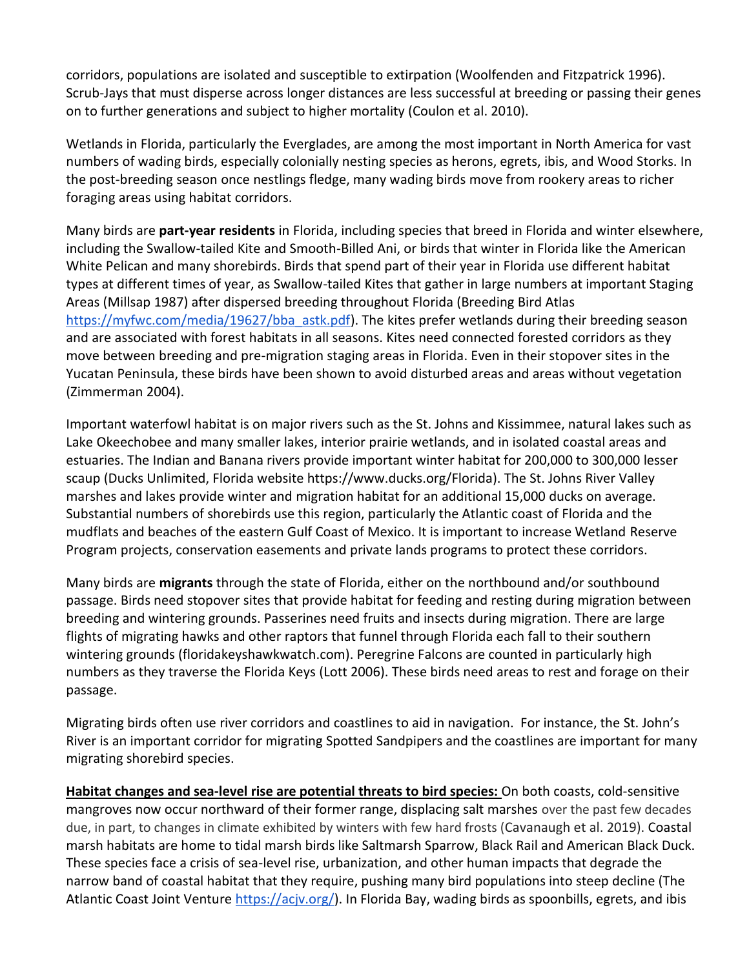corridors, populations are isolated and susceptible to extirpation (Woolfenden and Fitzpatrick 1996). Scrub-Jays that must disperse across longer distances are less successful at breeding or passing their genes on to further generations and subject to higher mortality (Coulon et al. 2010).

Wetlands in Florida, particularly the Everglades, are among the most important in North America for vast numbers of wading birds, especially colonially nesting species as herons, egrets, ibis, and Wood Storks. In the post-breeding season once nestlings fledge, many wading birds move from rookery areas to richer foraging areas using habitat corridors.

Many birds are **part-year residents** in Florida, including species that breed in Florida and winter elsewhere, including the Swallow-tailed Kite and Smooth-Billed Ani, or birds that winter in Florida like the American White Pelican and many shorebirds. Birds that spend part of their year in Florida use different habitat types at different times of year, as Swallow-tailed Kites that gather in large numbers at important Staging Areas (Millsap 1987) after dispersed breeding throughout Florida (Breeding Bird Atlas [https://myfwc.com/media/19627/bba\\_astk.pdf\)](https://myfwc.com/media/19627/bba_astk.pdf). The kites prefer wetlands during their breeding season and are associated with forest habitats in all seasons. Kites need connected forested corridors as they move between breeding and pre-migration staging areas in Florida. Even in their stopover sites in the Yucatan Peninsula, these birds have been shown to avoid disturbed areas and areas without vegetation (Zimmerman 2004).

Important waterfowl habitat is on major rivers such as the St. Johns and Kissimmee, natural lakes such as Lake Okeechobee and many smaller lakes, interior prairie wetlands, and in isolated coastal areas and estuaries. The Indian and Banana rivers provide important winter habitat for 200,000 to 300,000 lesser scaup (Ducks Unlimited, Florida website https://www.ducks.org/Florida). The St. Johns River Valley marshes and lakes provide winter and migration habitat for an additional 15,000 ducks on average. Substantial numbers of shorebirds use this region, particularly the Atlantic coast of Florida and the mudflats and beaches of the eastern Gulf Coast of Mexico. It is important to increase Wetland Reserve Program projects, conservation easements and private lands programs to protect these corridors.

Many birds are **migrants** through the state of Florida, either on the northbound and/or southbound passage. Birds need stopover sites that provide habitat for feeding and resting during migration between breeding and wintering grounds. Passerines need fruits and insects during migration. There are large flights of migrating hawks and other raptors that funnel through Florida each fall to their southern wintering grounds (floridakeyshawkwatch.com). Peregrine Falcons are counted in particularly high numbers as they traverse the Florida Keys (Lott 2006). These birds need areas to rest and forage on their passage.

Migrating birds often use river corridors and coastlines to aid in navigation. For instance, the St. John's River is an important corridor for migrating Spotted Sandpipers and the coastlines are important for many migrating shorebird species.

**Habitat changes and sea-level rise are potential threats to bird species:** On both coasts, cold-sensitive mangroves now occur northward of their former range, displacing salt marshes over the past few decades due, in part, to changes in climate exhibited by winters with few hard frosts (Cavanaugh et al. 2019). Coastal marsh habitats are home to tidal marsh birds like Saltmarsh Sparrow, Black Rail and American Black Duck. These species face a crisis of sea-level rise, urbanization, and other human impacts that degrade the narrow band of coastal habitat that they require, pushing many bird populations into steep decline (The Atlantic Coast Joint Venture [https://acjv.org/\)](https://acjv.org/). In Florida Bay, wading birds as spoonbills, egrets, and ibis